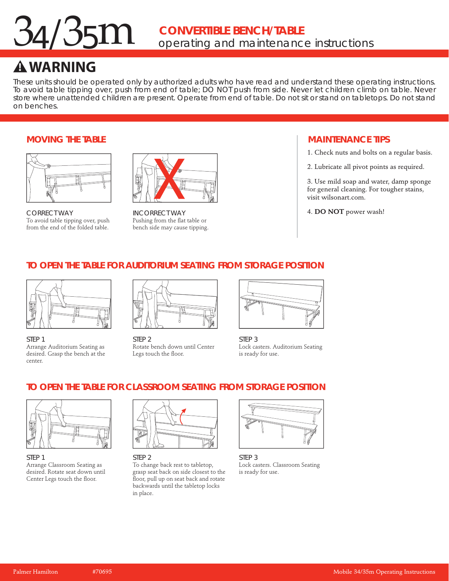## $34/35<sup>m</sup>$ *operating and maintenance instructions* **CONVERTIBLE BENCH/TABLE**

# **! WARNING**

These units should be operated only by authorized adults who have read and understand these operating instructions. To avoid table tipping over, push from end of table; DO NOT push from side. Never let children climb on table. Never store where unattended children are present. Operate from end of table. Do not sit or stand on tabletops. Do not stand on benches.

#### **MOVING THE TABLE**



CORRECT WAY To avoid table tipping over, push from the end of the folded table.



INCORRECT WAY Pushing from the flat table or bench side may cause tipping.

#### **MAINTENANCE TIPS**

1. Check nuts and bolts on a regular basis.

2. Lubricate all pivot points as required.

3. Use mild soap and water, damp sponge for general cleaning. For tougher stains, visit wilsonart.com.

4. **DO NOT** power wash!

# **TO OPEN THE TABLE FOR AUDITORIUM SEATING FROM STORAGE POSITION**



STEP 1 Arrange Auditorium Seating as desired. Grasp the bench at the center.



STEP<sub>2</sub> Rotate bench down until Center Legs touch the floor.



STEP 3 Lock casters. Auditorium Seating is ready for use.

# **TO OPEN THE TABLE FOR CLASSROOM SEATING FROM STORAGE POSITION**



STEP 1 Arrange Classroom Seating as desired. Rotate seat down until Center Legs touch the floor.



STEP 2

To change back rest to tabletop, grasp seat back on side closest to the floor, pull up on seat back and rotate backwards until the tabletop locks in place.



STEP 3 Lock casters. Classroom Seating is ready for use.